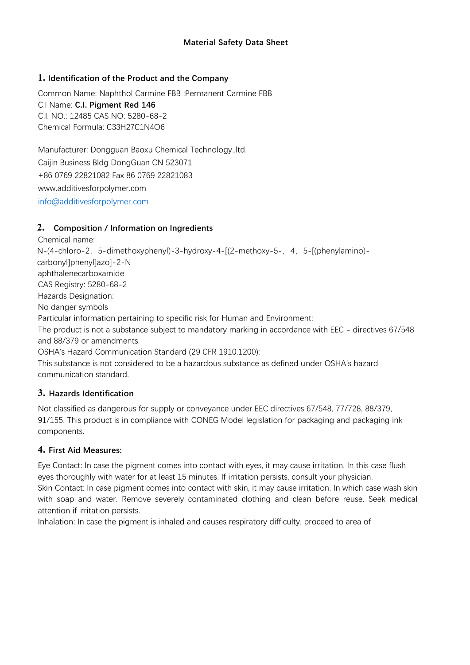#### **Material Safety Data Sheet**

#### **1. Identification of the Product and the Company**

Common Name: Naphthol Carmine FBB :Permanent Carmine FBB C.I Name: **C.I. Pigment Red 146** C.I. NO.: 12485 CAS NO: 5280-68-2 Chemical Formula: C33H27C1N4O6

Manufacturer: Dongguan Baoxu Chemical Technology.,ltd. Caijin Business Bldg DongGuan CN 523071 +86 0769 22821082 Fax 86 0769 22821083 www.additivesforpolymer.com [info@additivesforpolymer.com](mailto:info@additivesforpolymer.com)

#### **2. Composition / Information on Ingredients**

Chemical name: N-(4-chloro-2, 5-dimethoxyphenyl)-3-hydroxy-4-[(2-methoxy-5-, 4, 5-[(phenylamino)carbonyl]phenyl]azo]-2-N aphthalenecarboxamide CAS Registry: 5280-68-2 Hazards Designation: No danger symbols Particular information pertaining to specific risk for Human and Environment: The product is not a substance subject to mandatory marking in accordance with EEC - directives 67/548 and 88/379 or amendments. OSHA's Hazard Communication Standard (29 CFR 1910.1200):

This substance is not considered to be a hazardous substance as defined under OSHA's hazard communication standard.

#### **3. Hazards Identification**

Not classified as dangerous for supply or conveyance under EEC directives 67/548, 77/728, 88/379, 91/155. This product is in compliance with CONEG Model legislation for packaging and packaging ink components.

#### **4. First Aid Measures:**

Eye Contact: In case the pigment comes into contact with eyes, it may cause irritation. In this case flush eyes thoroughly with water for at least 15 minutes. If irritation persists, consult your physician. Skin Contact: In case pigment comes into contact with skin, it may cause irritation. In which case wash skin with soap and water. Remove severely contaminated clothing and clean before reuse. Seek medical attention if irritation persists.

Inhalation: In case the pigment is inhaled and causes respiratory difficulty, proceed to area of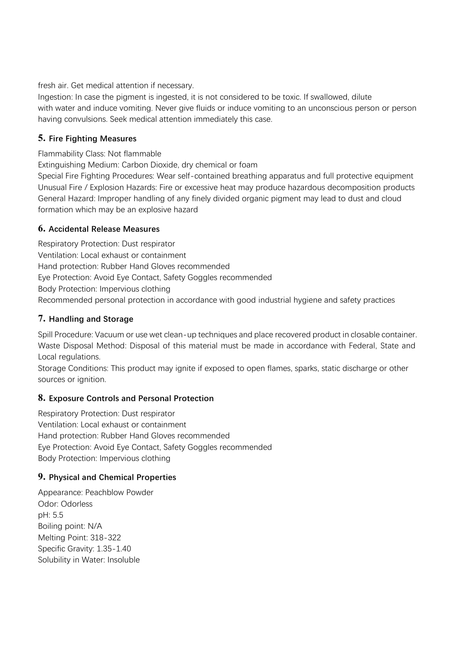fresh air. Get medical attention if necessary.

Ingestion: In case the pigment is ingested, it is not considered to be toxic. If swallowed, dilute with water and induce vomiting. Never give fluids or induce vomiting to an unconscious person or person having convulsions. Seek medical attention immediately this case.

### **5. Fire Fighting Measures**

Flammability Class: Not flammable

Extinguishing Medium: Carbon Dioxide, dry chemical or foam

Special Fire Fighting Procedures: Wear self-contained breathing apparatus and full protective equipment Unusual Fire / Explosion Hazards: Fire or excessive heat may produce hazardous decomposition products General Hazard: Improper handling of any finely divided organic pigment may lead to dust and cloud formation which may be an explosive hazard

# **6. Accidental Release Measures**

Respiratory Protection: Dust respirator Ventilation: Local exhaust or containment Hand protection: Rubber Hand Gloves recommended Eye Protection: Avoid Eye Contact, Safety Goggles recommended Body Protection: Impervious clothing Recommended personal protection in accordance with good industrial hygiene and safety practices

# **7. Handling and Storage**

Spill Procedure: Vacuum or use wet clean-up techniques and place recovered product in closable container. Waste Disposal Method: Disposal of this material must be made in accordance with Federal, State and Local regulations.

Storage Conditions: This product may ignite if exposed to open flames, sparks, static discharge or other sources or ignition.

# **8. Exposure Controls and Personal Protection**

Respiratory Protection: Dust respirator Ventilation: Local exhaust or containment Hand protection: Rubber Hand Gloves recommended Eye Protection: Avoid Eye Contact, Safety Goggles recommended Body Protection: Impervious clothing

# **9. Physical and Chemical Properties**

Appearance: Peachblow Powder Odor: Odorless pH: 5.5 Boiling point: N/A Melting Point: 318-322 Specific Gravity: 1.35-1.40 Solubility in Water: Insoluble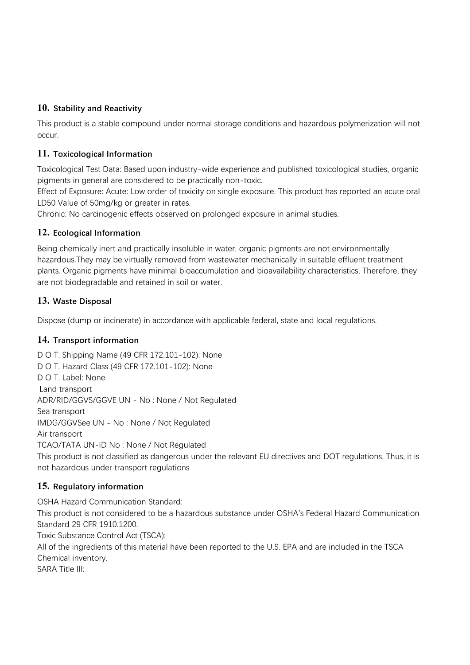## **10. Stability and Reactivity**

This product is a stable compound under normal storage conditions and hazardous polymerization will not occur.

## **11. Toxicological Information**

Toxicological Test Data: Based upon industry-wide experience and published toxicological studies, organic pigments in general are considered to be practically non-toxic.

Effect of Exposure: Acute: Low order of toxicity on single exposure. This product has reported an acute oral LD50 Value of 50mg/kg or greater in rates.

Chronic: No carcinogenic effects observed on prolonged exposure in animal studies.

## **12. Ecological Information**

Being chemically inert and practically insoluble in water, organic pigments are not environmentally hazardous.They may be virtually removed from wastewater mechanically in suitable effluent treatment plants. Organic pigments have minimal bioaccumulation and bioavailability characteristics. Therefore, they are not biodegradable and retained in soil or water.

## **13. Waste Disposal**

Dispose (dump or incinerate) in accordance with applicable federal, state and local regulations.

#### **14. Transport information**

D O T. Shipping Name (49 CFR 172.101-102): None D O T. Hazard Class (49 CFR 172.101-102): None D O T. Label: None Land transport ADR/RID/GGVS/GGVE UN - No : None / Not Regulated Sea transport IMDG/GGVSee UN - No : None / Not Regulated Air transport TCAO/TATA UN-ID No : None / Not Regulated This product is not classified as dangerous under the relevant EU directives and DOT regulations. Thus, it is not hazardous under transport regulations

# **15. Regulatory information**

OSHA Hazard Communication Standard: This product is not considered to be a hazardous substance under OSHA's Federal Hazard Communication Standard 29 CFR 1910.1200. Toxic Substance Control Act (TSCA): All of the ingredients of this material have been reported to the U.S. EPA and are included in the TSCA Chemical inventory. SARA Title III: